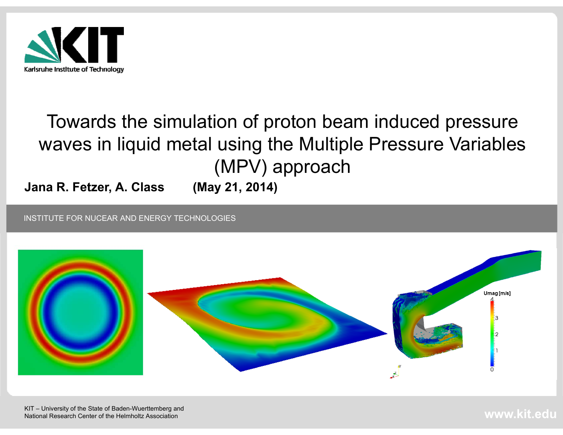

## Towards the simulation of proton beam induced pressure waves in liquid metal using the Multiple Pressure Variables (MPV) approach

**Jana R. Fetzer, A. Class (May 21, 2014)**

INSTITUTE FOR NUCEAR AND ENERGY TECHNOLOGIES



**www.kit.edu**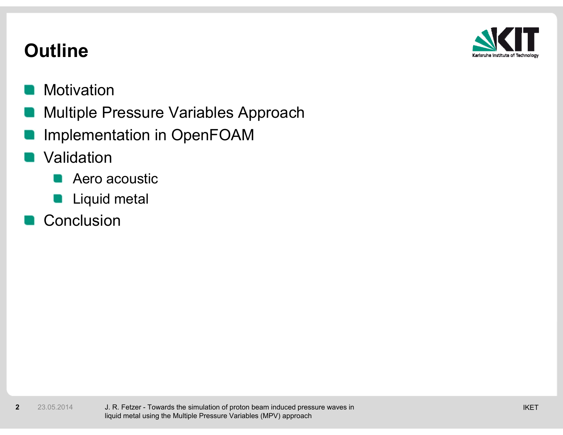

## **Outline**

### **Motivation**

- Multiple Pressure Variables Approach
- Implementation in OpenFOAM

### Validation

- Aero acoustic**STAR**
- **Liquid metal**

### Conclusion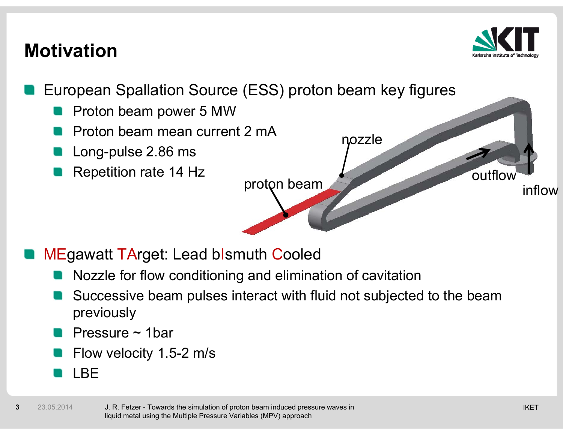## **Motivation**



- European Spallation Source (ESS) proton beam key figures
	- Proton beam power 5 MW
	- Proton beam mean current 2 mA
	- Long-pulse 2.86 ms
	- Repetition rate 14 Hz



MEgawatt TArget: Lead bIsmuth Cooled

- Nozzle for flow conditioning and elimination of cavitation
- Successive beam pulses interact with fluid not subjected to the beam previously
- Pressure ~ 1bar
- Flow velocity 1.5-2 m/s
- LBE

**3**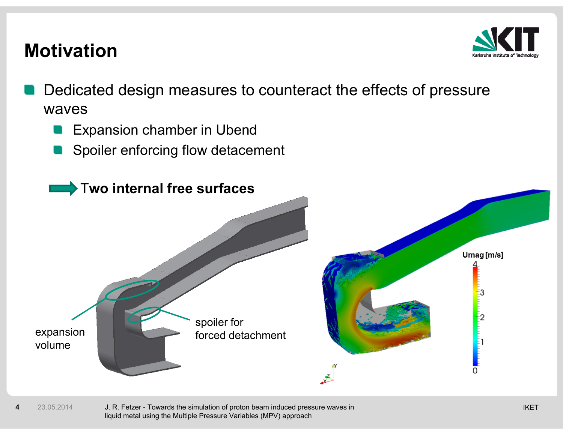## **Motivation**



- Dedicated design measures to counteract the effects of pressure waves
	- Expansion chamber in Ubend  $\blacksquare$
	- Spoiler enforcing flow detacement



4 23.05.2014 J. R. Fetzer - Towards the simulation of proton beam induced pressure waves in waves in the state of the state of the state of the state of the state of the state of the state of the state of the state liquid metal using the Multiple Pressure Variables (MPV) approach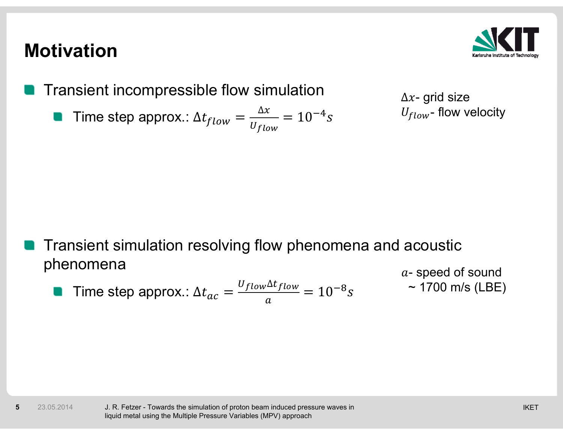## **Motivation**

**5**



Transient incompressible flow simulation

Time step approx.:  $\Delta t_{flow} = \frac{\Delta x}{U_{flow}} = 10^{-4}s$ 

 $\Delta x$ - grid size  $U_{flow}$ - flow velocity

Transient simulation resolving flow phenomena and acoustic phenomena a-speed of sound

Time step approx.:  $\Delta t_{ac} = \frac{U_{flow} \Delta t_{flow}}{a} = 10^{-8} s$  $\sim$  1700 m/s (LBE)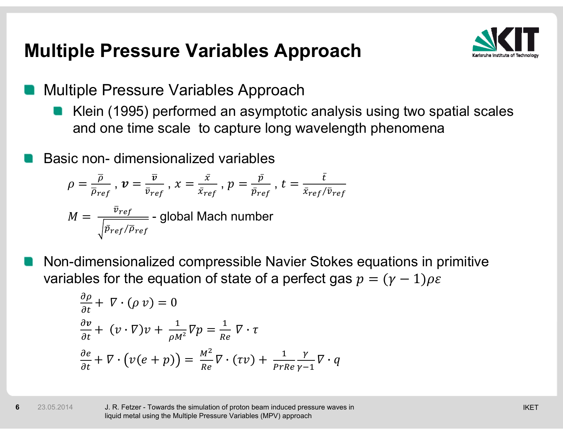## **Multiple Pressure Variables Approach**



- Multiple Pressure Variables Approach
	- Klein (1995) performed an asymptotic analysis using two spatial scales and one time scale to capture long wavelength phenomena
- Basic non- dimensionalized variables

$$
\rho = \frac{\overline{\rho}}{\overline{\rho}_{ref}}, \nu = \frac{\overline{v}}{\overline{v}_{ref}}, x = \frac{\overline{x}}{\overline{x}_{ref}}, p = \frac{\overline{p}}{\overline{p}_{ref}}, t = \frac{\overline{t}}{\overline{x}_{ref}/\overline{v}_{ref}}
$$

$$
M = \frac{\overline{v}_{ref}}{\sqrt{\overline{p}_{ref}/\overline{p}_{ref}}} \text{ - global Mach number}
$$

Non-dimensionalized compressible Navier Stokes equations in primitive variables for the equation of state of a perfect gas  $p = (\gamma - 1)\rho \varepsilon$ 

$$
\frac{\partial \rho}{\partial t} + \nabla \cdot (\rho \, v) = 0
$$
\n
$$
\frac{\partial v}{\partial t} + (v \cdot \nabla)v + \frac{1}{\rho M^2} \nabla p = \frac{1}{Re} \nabla \cdot \tau
$$
\n
$$
\frac{\partial e}{\partial t} + \nabla \cdot (v(e + p)) = \frac{M^2}{Re} \nabla \cdot (\tau v) + \frac{1}{Pr Re} \frac{\gamma}{\gamma - 1} \nabla \cdot q
$$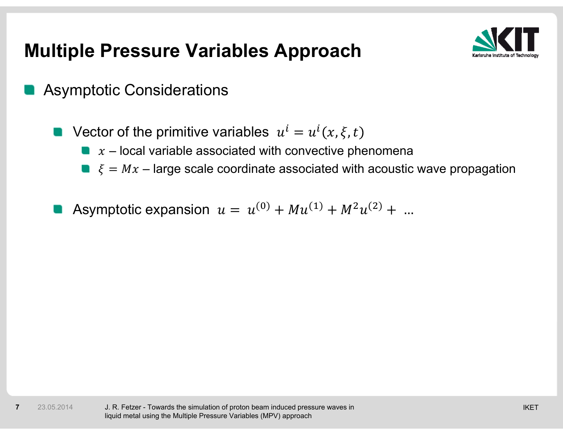## **Multiple Pressure Variables Approach**



- Asymptotic Considerations
	- Vector of the primitive variables  $u^{i} = u^{i}(x, \xi, t)$ 
		- $x$  local variable associated with convective phenomena
		- $\bullet \quad \xi = Mx$  large scale coordinate associated with acoustic wave propagation
	- Asymptotic expansion  $u = u^{(0)} + M u^{(1)} + M^2 u^{(2)} + ...$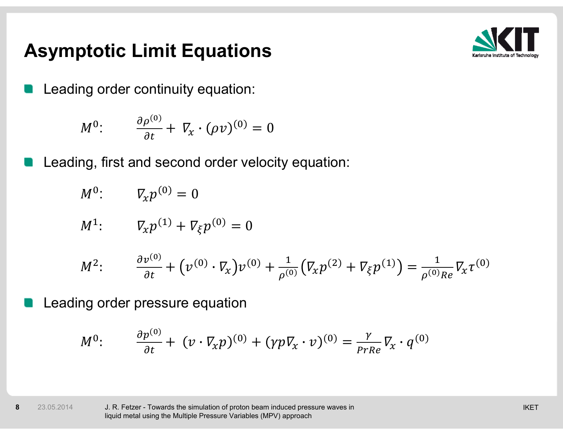## **Asymptotic Limit Equations**



Leading order continuity equation:

$$
M^0: \qquad \frac{\partial \rho^{(0)}}{\partial t} + \nabla_x \cdot (\rho v)^{(0)} = 0
$$

Leading, first and second order velocity equation:

$$
M^0: \qquad \nabla_x p^{(0)} = 0
$$

$$
M^{1}: \tV_{x}p^{(1)} + V_{\xi}p^{(0)} = 0
$$

$$
M^{2}: \frac{\partial v^{(0)}}{\partial t} + (v^{(0)} \cdot \nabla_{x}) v^{(0)} + \frac{1}{\rho^{(0)}} (\nabla_{x} p^{(2)} + \nabla_{\xi} p^{(1)}) = \frac{1}{\rho^{(0)} Re} \nabla_{x} \tau^{(0)}
$$

Leading order pressure equation

$$
M^0: \qquad \frac{\partial p^{(0)}}{\partial t} + (\nu \cdot \nabla_x p)^{(0)} + (\gamma p \nabla_x \cdot \nu)^{(0)} = \frac{\gamma}{\rho r Re} \nabla_x \cdot q^{(0)}
$$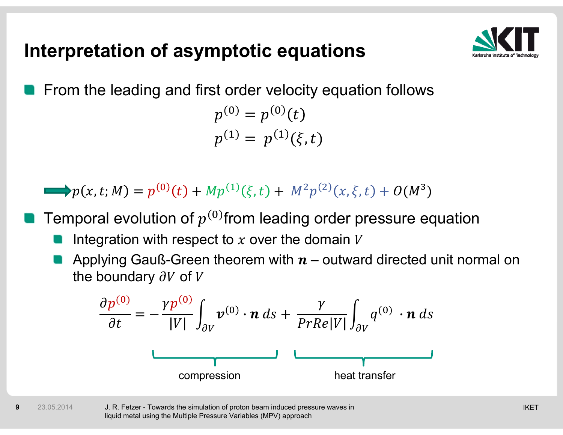## **Interpretation of asymptotic equations**



From the leading and first order velocity equation follows

$$
p^{(0)} = p^{(0)}(t)
$$
  

$$
p^{(1)} = p^{(1)}(\xi, t)
$$

 $\Rightarrow p(x, t; M) = p^{(0)}(t) + M p^{(1)}(\xi, t) + M^2 p^{(2)}(x, \xi, t) + O(M^3)$ 

Temporal evolution of  $p^{(0)}$  from leading order pressure equation

- Integration with respect to  $x$  over the domain  $V$
- Applying Gauß-Green theorem with  $n$  outward directed unit normal on the boundary  $\partial V$  of V

$$
\frac{\partial p^{(0)}}{\partial t} = -\frac{\gamma p^{(0)}}{|V|} \int_{\partial V} \boldsymbol{v}^{(0)} \cdot \boldsymbol{n} \, ds + \frac{\gamma}{PrRe|V|} \int_{\partial V} q^{(0)} \cdot \boldsymbol{n} \, ds
$$
\n
$$
\underbrace{\qquad \qquad \text{compression} \qquad \qquad \text{heat transfer}
$$

**9**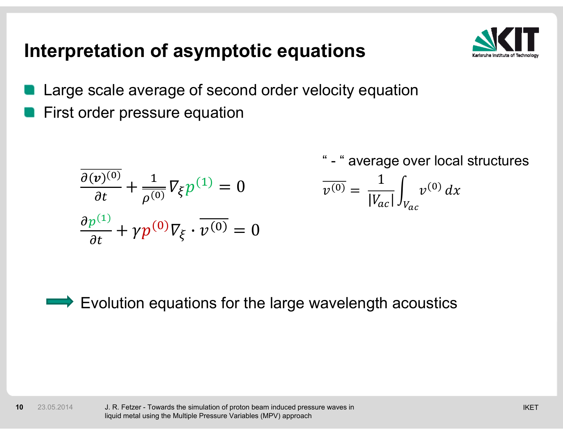## **Interpretation of asymptotic equations**



- Large scale average of second order velocity equation
- First order pressure equation

$$
\frac{\partial(\nu)^{(0)}}{\partial t} + \frac{1}{\rho^{(0)}} \nabla_{\xi} p^{(1)} = 0
$$
  

$$
\frac{\partial p^{(1)}}{\partial t} + \gamma p^{(0)} \nabla_{\xi} \cdot \overline{\nu^{(0)}} = 0
$$

- " average over local structures

$$
\overline{v^{(0)}} = \frac{1}{|V_{ac}|} \int_{V_{ac}} v^{(0)} dx
$$

Evolution equations for the large wavelength acoustics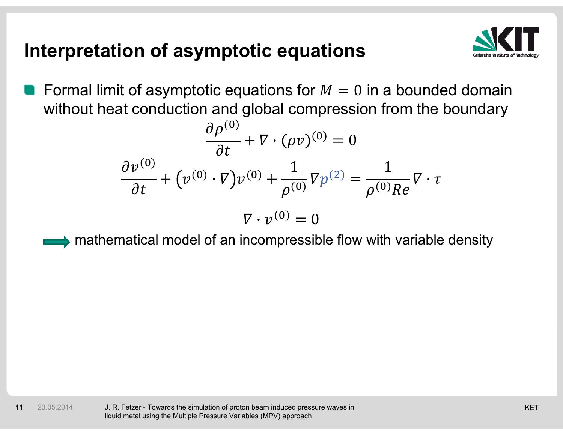## **Interpretation of asymptotic equations**



Formal limit of asymptotic equations for  $M=0$  in a bounded domain without heat conduction and global compression from the boundary

$$
\frac{\partial \rho^{(0)}}{\partial t} + \nabla \cdot (\rho v)^{(0)} = 0
$$

$$
\frac{\partial v^{(0)}}{\partial t} + (\nu^{(0)} \cdot \nabla) v^{(0)} + \frac{1}{\rho^{(0)}} \nabla p^{(2)} = \frac{1}{\rho^{(0)} Re} \nabla \cdot \tau
$$

$$
\nabla \cdot v^{(0)} = 0
$$

$$
\blacktriangleright
$$
 mathematical model of an incompressible flow with variable density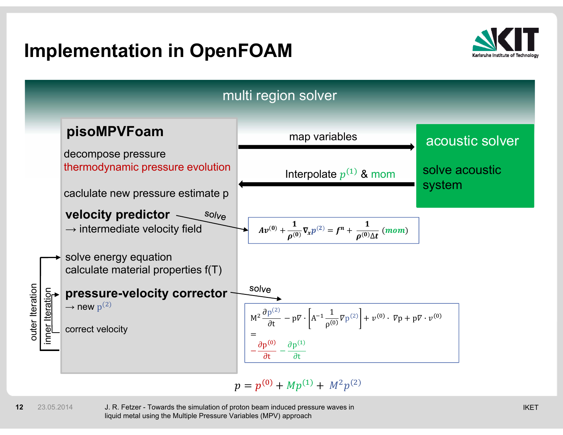## **Implementation in OpenFOAM**





**12**23.05.2014

2  $-$  23.05.2014  $-$  J. R. Fetzer - Towards the simulation of proton beam induced pressure waves in  $\blacksquare$ liquid metal using the Multiple Pressure Variables (MPV) approach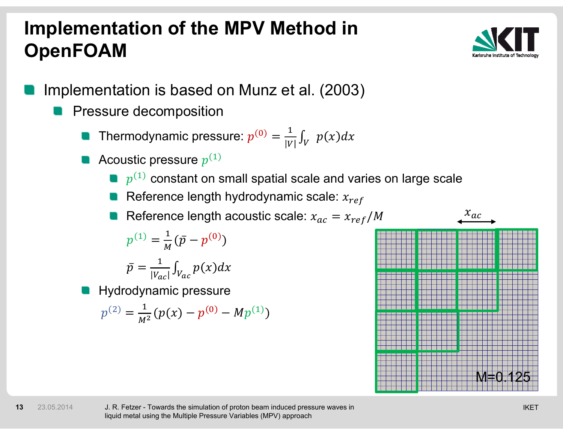# **Implementation of the MPV Method in OpenFOAM**



- Implementation is based on Munz et al. (2003)
	- Pressure decomposition
		- Thermodynamic pressure:  $p^{(0)} = \frac{1}{|V|} \int_V \ p(x) dx$
		- Acoustic pressure  $p^{(1)}$ 
			- $\bullet$   $p^{(1)}$  constant on small spatial scale and varies on large scale
			- Reference length hydrodynamic scale:  $x_{ref}$

Reference length acoustic scale:  $x_{ac} = x_{ref}/M$ 

$$
p^{(1)} = \frac{1}{M} (\bar{p} - p^{(0)})
$$

$$
\bar{p} = \frac{1}{|V_{ac}|} \int_{V_{ac}} p(x) dx
$$

Hydrodynamic pressure

**13**

23.05.2014

$$
p^{(2)} = \frac{1}{M^2} (p(x) - p^{(0)} - M p^{(1)})
$$

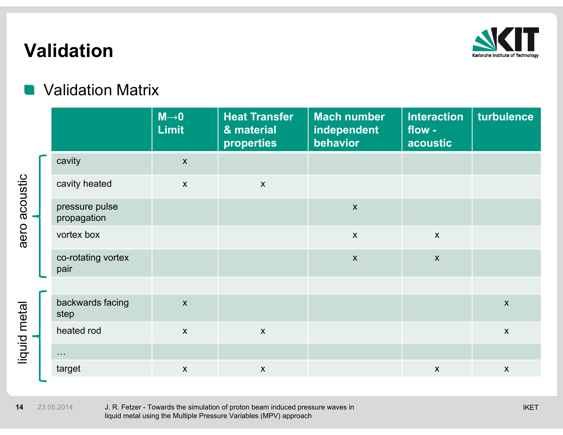

## **Validation**

#### Validation Matrix

|  |                               | $M\rightarrow 0$<br><b>Limit</b> | <b>Heat Transfer</b><br>& material<br>properties | <b>Mach number</b><br>independent<br>behavior | <b>Interaction</b><br>flow -<br>acoustic | turbulence   |
|--|-------------------------------|----------------------------------|--------------------------------------------------|-----------------------------------------------|------------------------------------------|--------------|
|  | cavity                        | $\mathsf{X}$                     |                                                  |                                               |                                          |              |
|  | cavity heated                 | $\mathsf{X}$                     | $\boldsymbol{X}$                                 |                                               |                                          |              |
|  | pressure pulse<br>propagation |                                  |                                                  | $\boldsymbol{\mathsf{X}}$                     |                                          |              |
|  | vortex box                    |                                  |                                                  | $\mathsf{X}$                                  | $\mathsf{X}$                             |              |
|  | co-rotating vortex<br>pair    |                                  |                                                  | $\boldsymbol{\mathsf{X}}$                     | $\mathsf{X}$                             |              |
|  |                               |                                  |                                                  |                                               |                                          |              |
|  | backwards facing<br>step      | $\boldsymbol{\mathsf{X}}$        |                                                  |                                               |                                          | $\mathsf{X}$ |
|  | heated rod                    | $\mathsf{X}$                     | $\boldsymbol{X}$                                 |                                               |                                          | $\mathsf{X}$ |
|  | $\sim 100$                    |                                  |                                                  |                                               |                                          |              |
|  | target                        | $\boldsymbol{\mathsf{X}}$        | $\boldsymbol{X}$                                 |                                               | $\boldsymbol{X}$                         | $\mathsf{X}$ |

**14**23.05.2014

aero acoustic

aero acoustic

liquid metal

liquid metal

 IKETJ. R. Fetzer - Towards the simulation of proton beam induced pressure waves in liquid metal using the Multiple Pressure Variables (MPV) approach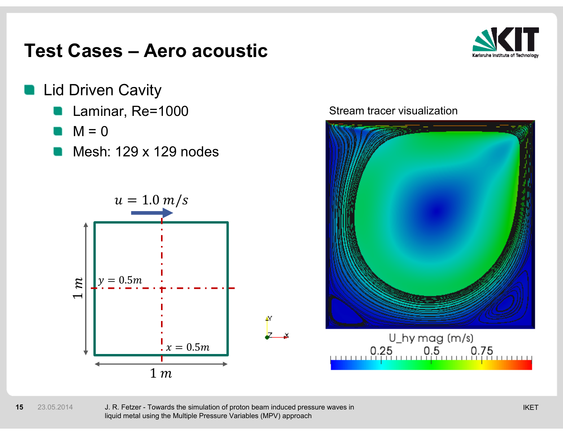

- Lid Driven Cavity
	- Laminar, Re=1000
	- M = 0
	- Mesh: 129 x 129 nodes



#### Stream tracer visualization



#### **15**23.05.2014

 IKETJ. R. Fetzer - Towards the simulation of proton beam induced pressure waves in liquid metal using the Multiple Pressure Variables (MPV) approach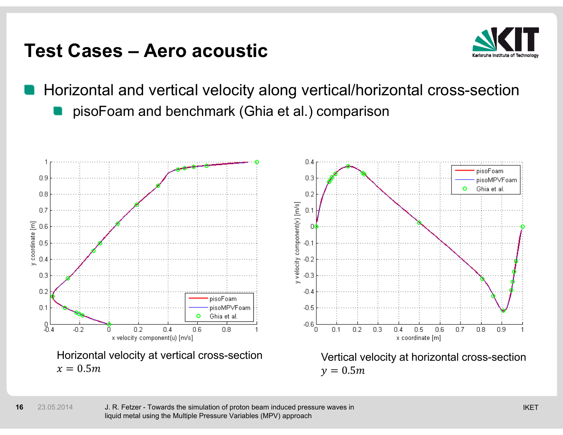

Horizontal and vertical velocity along vertical/horizontal cross-section pisoFoam and benchmark (Ghia et al.) comparison

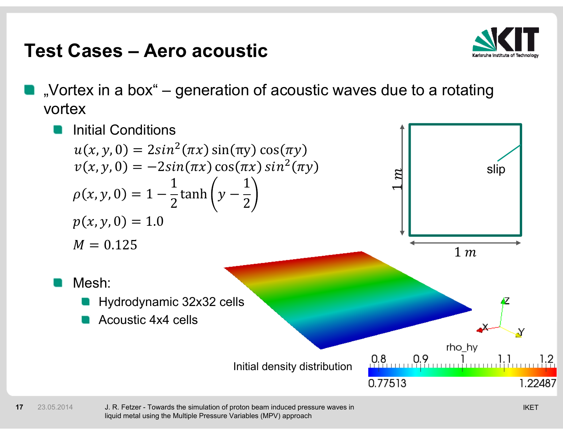

"Vortex in a box" – generation of acoustic waves due to a rotating vortex



**17**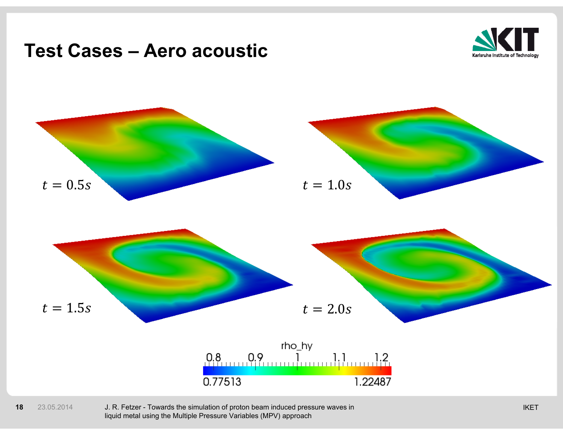

#### **18**23.05.2014

 IKETJ. R. Fetzer - Towards the simulation of proton beam induced pressure waves in liquid metal using the Multiple Pressure Variables (MPV) approach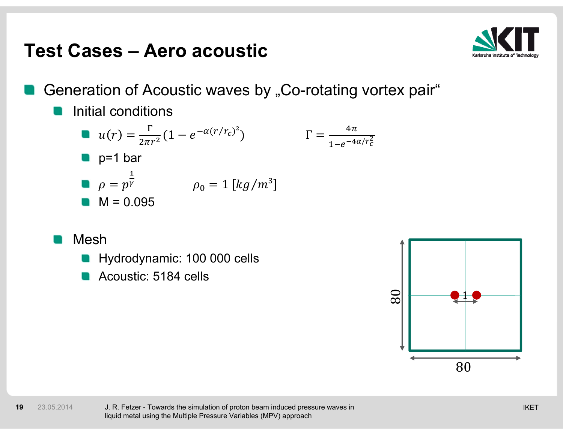

Generation of Acoustic waves by "Co-rotating vortex pair"

#### Initial conditions

**a** 
$$
u(r) = \frac{\Gamma}{2\pi r^2} (1 - e^{-\alpha (r/r_c)^2})
$$
  $\Gamma = \frac{4\pi}{1 - e^{-4\alpha/r_c^2}}$   
\n**b**  $\rho = p^{\frac{1}{\gamma}}$   $\rho_0 = 1 [kg/m^3]$   
\n**c**  $M = 0.095$ 

Mesh

**19**

- Hydrodynamic: 100 000 cells
- Acoustic: 5184 cells

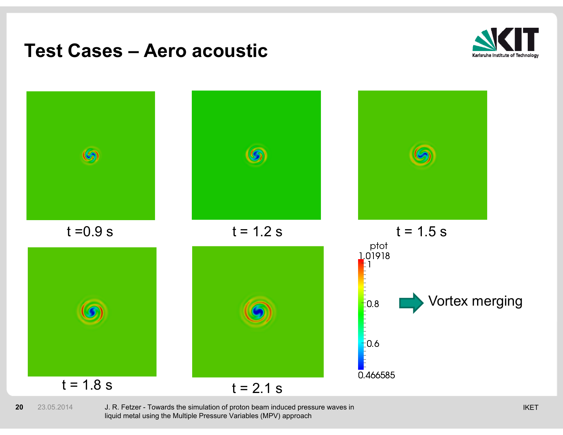



**20**23.05.2014

0  $-$  23.05.2014  $-$  J. R. Fetzer - Towards the simulation of proton beam induced pressure waves in  $\blacksquare$  The state of the simulation of proton beam induced pressure waves in liquid metal using the Multiple Pressure Variables (MPV) approach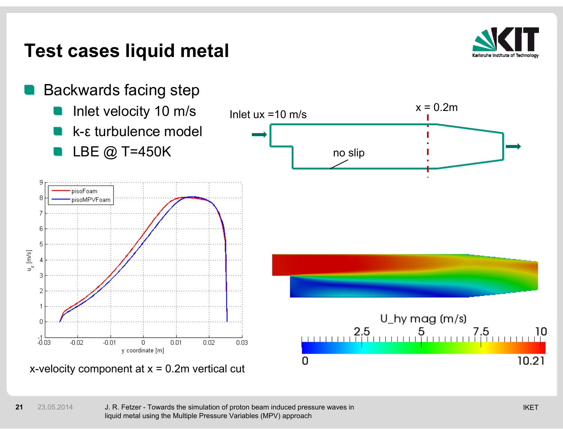## **Test cases liquid metal**



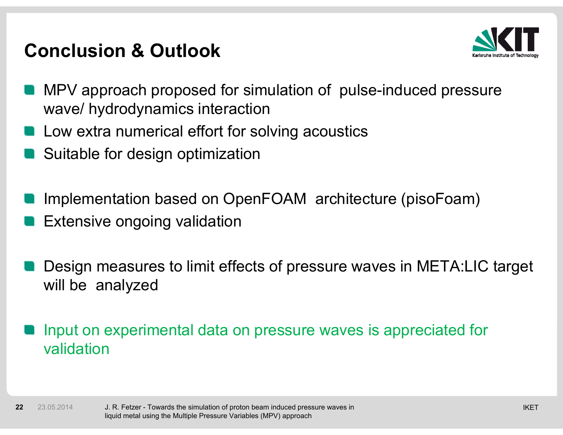## **Conclusion & Outlook**



- MPV approach proposed for simulation of pulse-induced pressure wave/ hydrodynamics interaction
- Low extra numerical effort for solving acoustics
- Suitable for design optimization
- Implementation based on OpenFOAM architecture (pisoFoam)
- Extensive ongoing validation
- Design measures to limit effects of pressure waves in META:LIC target will be analyzed

#### Input on experimental data on pressure waves is appreciated for validation